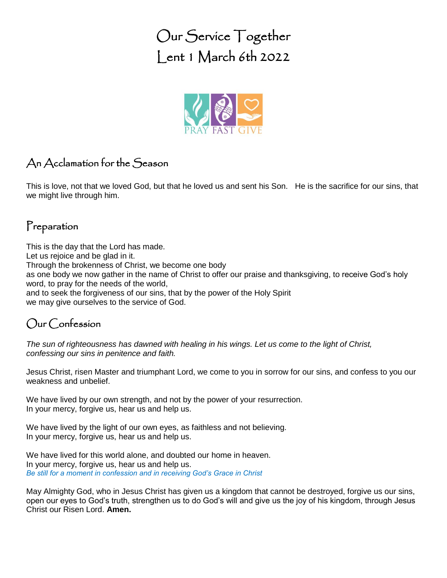Our Service Together Lent 1 March 6th 2022



## An Acclamation for the Season

This is love, not that we loved God, but that he loved us and sent his Son. He is the sacrifice for our sins, that we might live through him.

### Preparation

This is the day that the Lord has made. Let us rejoice and be glad in it. Through the brokenness of Christ, we become one body as one body we now gather in the name of Christ to offer our praise and thanksgiving, to receive God's holy word, to pray for the needs of the world, and to seek the forgiveness of our sins, that by the power of the Holy Spirit we may give ourselves to the service of God.

## Our Confession

*The sun of righteousness has dawned with healing in his wings. Let us come to the light of Christ, confessing our sins in penitence and faith.*

Jesus Christ, risen Master and triumphant Lord, we come to you in sorrow for our sins, and confess to you our weakness and unbelief.

We have lived by our own strength, and not by the power of your resurrection. In your mercy, forgive us, hear us and help us.

We have lived by the light of our own eyes, as faithless and not believing. In your mercy, forgive us, hear us and help us.

We have lived for this world alone, and doubted our home in heaven. In your mercy, forgive us, hear us and help us. *Be still for a moment in confession and in receiving God's Grace in Christ*

May Almighty God, who in Jesus Christ has given us a kingdom that cannot be destroyed, forgive us our sins, open our eyes to God's truth, strengthen us to do God's will and give us the joy of his kingdom, through Jesus Christ our Risen Lord. **Amen.**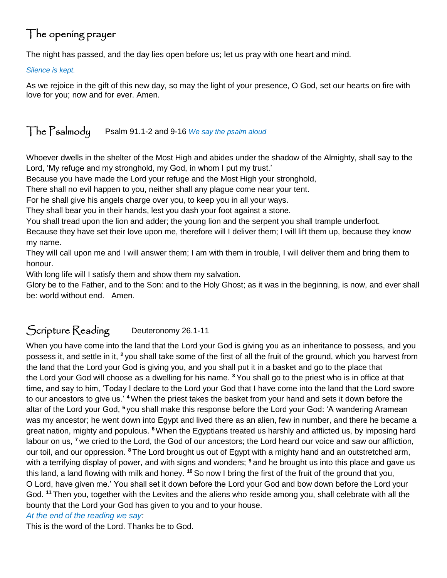## The opening prayer

The night has passed, and the day lies open before us; let us pray with one heart and mind.

#### *Silence is kept.*

As we rejoice in the gift of this new day, so may the light of your presence, O God, set our hearts on fire with love for you; now and for ever. Amen.

### The Psalmody Psalm 91.1-2 and 9-16 *We say the psalm aloud*

Whoever dwells in the shelter of the Most High and abides under the shadow of the Almighty, shall say to the Lord, 'My refuge and my stronghold, my God, in whom I put my trust.'

Because you have made the Lord your refuge and the Most High your stronghold,

There shall no evil happen to you, neither shall any plague come near your tent.

For he shall give his angels charge over you, to keep you in all your ways.

They shall bear you in their hands, lest you dash your foot against a stone.

You shall tread upon the lion and adder; the young lion and the serpent you shall trample underfoot.

Because they have set their love upon me, therefore will I deliver them; I will lift them up, because they know my name.

They will call upon me and I will answer them; I am with them in trouble, I will deliver them and bring them to honour.

With long life will I satisfy them and show them my salvation.

Glory be to the Father, and to the Son: and to the Holy Ghost; as it was in the beginning, is now, and ever shall be: world without end. Amen.

## Scripture Reading Deuteronomy 26.1-11

When you have come into the land that the Lord your God is giving you as an inheritance to possess, and you possess it, and settle in it, **<sup>2</sup>** you shall take some of the first of all the fruit of the ground, which you harvest from the land that the Lord your God is giving you, and you shall put it in a basket and go to the place that the Lord your God will choose as a dwelling for his name. **<sup>3</sup>** You shall go to the priest who is in office at that time, and say to him, 'Today I declare to the Lord your God that I have come into the land that the Lord swore to our ancestors to give us.' **<sup>4</sup>**When the priest takes the basket from your hand and sets it down before the altar of the Lord your God, **<sup>5</sup>** you shall make this response before the Lord your God: 'A wandering Aramean was my ancestor; he went down into Egypt and lived there as an alien, few in number, and there he became a great nation, mighty and populous. **<sup>6</sup>**When the Egyptians treated us harshly and afflicted us, by imposing hard labour on us, **<sup>7</sup>** we cried to the Lord, the God of our ancestors; the Lord heard our voice and saw our affliction, our toil, and our oppression. **<sup>8</sup>** The Lord brought us out of Egypt with a mighty hand and an outstretched arm, with a terrifying display of power, and with signs and wonders; **<sup>9</sup>** and he brought us into this place and gave us this land, a land flowing with milk and honey. **<sup>10</sup>** So now I bring the first of the fruit of the ground that you, O Lord, have given me.' You shall set it down before the Lord your God and bow down before the Lord your God. **<sup>11</sup>** Then you, together with the Levites and the aliens who reside among you, shall celebrate with all the bounty that the Lord your God has given to you and to your house.

#### *At the end of the reading we say:*

This is the word of the Lord. Thanks be to God.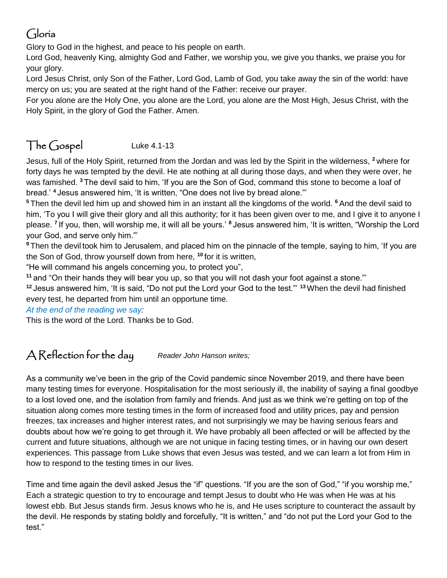# Gloria

Glory to God in the highest, and peace to his people on earth.

Lord God, heavenly King, almighty God and Father, we worship you, we give you thanks, we praise you for your glory.

Lord Jesus Christ, only Son of the Father, Lord God, Lamb of God, you take away the sin of the world: have mercy on us; you are seated at the right hand of the Father: receive our prayer.

For you alone are the Holy One, you alone are the Lord, you alone are the Most High, Jesus Christ, with the Holy Spirit, in the glory of God the Father. Amen.

# The Gospel Luke 4.1-13

Jesus, full of the Holy Spirit, returned from the Jordan and was led by the Spirit in the wilderness, **<sup>2</sup>** where for forty days he was tempted by the devil. He ate nothing at all during those days, and when they were over, he was famished. **<sup>3</sup>** The devil said to him, 'If you are the Son of God, command this stone to become a loaf of bread.' **<sup>4</sup>** Jesus answered him, 'It is written, "One does not live by bread alone."'

**<sup>5</sup>** Then the devil led him up and showed him in an instant all the kingdoms of the world. **<sup>6</sup>** And the devil said to him, 'To you I will give their glory and all this authority; for it has been given over to me, and I give it to anyone I please. **<sup>7</sup>** If you, then, will worship me, it will all be yours.' **<sup>8</sup>** Jesus answered him, 'It is written, "Worship the Lord your God, and serve only him."'

**<sup>9</sup>** Then the devil took him to Jerusalem, and placed him on the pinnacle of the temple, saying to him, 'If you are the Son of God, throw yourself down from here, **<sup>10</sup>** for it is written,

"He will command his angels concerning you, to protect you",

**<sup>11</sup>** and "On their hands they will bear you up, so that you will not dash your foot against a stone."'

**<sup>12</sup>** Jesus answered him, 'It is said, "Do not put the Lord your God to the test."' **<sup>13</sup>**When the devil had finished every test, he departed from him until an opportune time.

*At the end of the reading we say:*

This is the word of the Lord. Thanks be to God.

## A Reflection for the day *Reader John Hanson writes;*

As a community we've been in the grip of the Covid pandemic since November 2019, and there have been many testing times for everyone. Hospitalisation for the most seriously ill, the inability of saying a final goodbye to a lost loved one, and the isolation from family and friends. And just as we think we're getting on top of the situation along comes more testing times in the form of increased food and utility prices, pay and pension freezes, tax increases and higher interest rates, and not surprisingly we may be having serious fears and doubts about how we're going to get through it. We have probably all been affected or will be affected by the current and future situations, although we are not unique in facing testing times, or in having our own desert experiences. This passage from Luke shows that even Jesus was tested, and we can learn a lot from Him in how to respond to the testing times in our lives.

Time and time again the devil asked Jesus the "if" questions. "If you are the son of God," "if you worship me," Each a strategic question to try to encourage and tempt Jesus to doubt who He was when He was at his lowest ebb. But Jesus stands firm. Jesus knows who he is, and He uses scripture to counteract the assault by the devil. He responds by stating boldly and forcefully, "It is written," and "do not put the Lord your God to the test."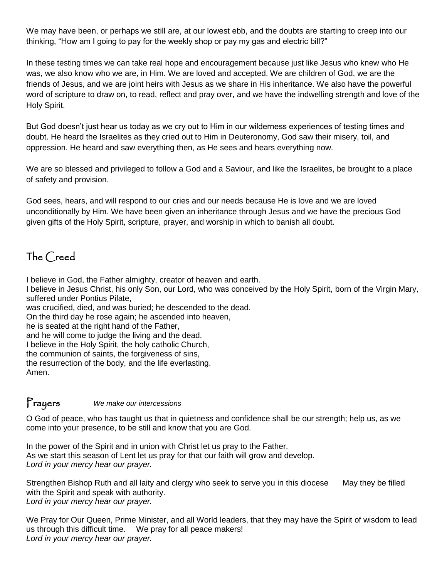We may have been, or perhaps we still are, at our lowest ebb, and the doubts are starting to creep into our thinking, "How am I going to pay for the weekly shop or pay my gas and electric bill?"

In these testing times we can take real hope and encouragement because just like Jesus who knew who He was, we also know who we are, in Him. We are loved and accepted. We are children of God, we are the friends of Jesus, and we are joint heirs with Jesus as we share in His inheritance. We also have the powerful word of scripture to draw on, to read, reflect and pray over, and we have the indwelling strength and love of the Holy Spirit.

But God doesn't just hear us today as we cry out to Him in our wilderness experiences of testing times and doubt. He heard the Israelites as they cried out to Him in Deuteronomy, God saw their misery, toil, and oppression. He heard and saw everything then, as He sees and hears everything now.

We are so blessed and privileged to follow a God and a Saviour, and like the Israelites, be brought to a place of safety and provision.

God sees, hears, and will respond to our cries and our needs because He is love and we are loved unconditionally by Him. We have been given an inheritance through Jesus and we have the precious God given gifts of the Holy Spirit, scripture, prayer, and worship in which to banish all doubt.

## The Creed

I believe in God, the Father almighty, creator of heaven and earth.

I believe in Jesus Christ, his only Son, our Lord, who was conceived by the Holy Spirit, born of the Virgin Mary, suffered under Pontius Pilate,

was crucified, died, and was buried; he descended to the dead.

On the third day he rose again; he ascended into heaven,

he is seated at the right hand of the Father,

and he will come to judge the living and the dead.

I believe in the Holy Spirit, the holy catholic Church,

the communion of saints, the forgiveness of sins,

the resurrection of the body, and the life everlasting.

Amen.

#### Prayers *We make our intercessions*

O God of peace, who has taught us that in quietness and confidence shall be our strength; help us, as we come into your presence, to be still and know that you are God.

In the power of the Spirit and in union with Christ let us pray to the Father. As we start this season of Lent let us pray for that our faith will grow and develop. *Lord in your mercy hear our prayer.*

Strengthen Bishop Ruth and all laity and clergy who seek to serve you in this diocese May they be filled with the Spirit and speak with authority. *Lord in your mercy hear our prayer.* 

We Pray for Our Queen, Prime Minister, and all World leaders, that they may have the Spirit of wisdom to lead us through this difficult time. We pray for all peace makers! *Lord in your mercy hear our prayer.*